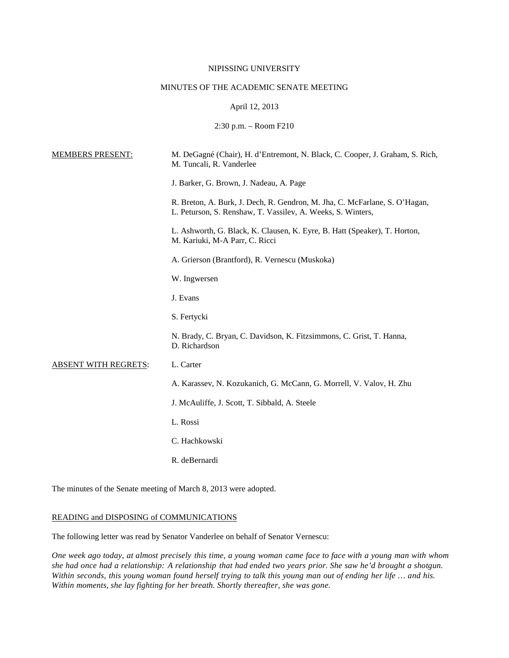# NIPISSING UNIVERSITY

# MINUTES OF THE ACADEMIC SENATE MEETING

### April 12, 2013

2:30 p.m. – Room F210

| <b>MEMBERS PRESENT:</b>     | M. DeGagné (Chair), H. d'Entremont, N. Black, C. Cooper, J. Graham, S. Rich,<br>M. Tuncali, R. Vanderlee                                  |
|-----------------------------|-------------------------------------------------------------------------------------------------------------------------------------------|
|                             | J. Barker, G. Brown, J. Nadeau, A. Page                                                                                                   |
|                             | R. Breton, A. Burk, J. Dech, R. Gendron, M. Jha, C. McFarlane, S. O'Hagan,<br>L. Peturson, S. Renshaw, T. Vassilev, A. Weeks, S. Winters, |
|                             | L. Ashworth, G. Black, K. Clausen, K. Eyre, B. Hatt (Speaker), T. Horton,<br>M. Kariuki, M-A Parr, C. Ricci                               |
|                             | A. Grierson (Brantford), R. Vernescu (Muskoka)                                                                                            |
|                             | W. Ingwersen                                                                                                                              |
|                             | J. Evans                                                                                                                                  |
|                             | S. Fertycki                                                                                                                               |
|                             | N. Brady, C. Bryan, C. Davidson, K. Fitzsimmons, C. Grist, T. Hanna,<br>D. Richardson                                                     |
| <b>ABSENT WITH REGRETS:</b> | L. Carter                                                                                                                                 |
|                             | A. Karassev, N. Kozukanich, G. McCann, G. Morrell, V. Valov, H. Zhu                                                                       |
|                             | J. McAuliffe, J. Scott, T. Sibbald, A. Steele                                                                                             |
|                             | L. Rossi                                                                                                                                  |
|                             | C. Hachkowski                                                                                                                             |
|                             | R. deBernardi                                                                                                                             |
|                             |                                                                                                                                           |

The minutes of the Senate meeting of March 8, 2013 were adopted.

# READING and DISPOSING of COMMUNICATIONS

The following letter was read by Senator Vanderlee on behalf of Senator Vernescu:

One week ago today, at almost precisely this time, a young woman came face to face with a young man with whom she had once had a relationship: A relationship that had ended two years prior. She saw he'd brought a shotgun. Within seconds, this young woman found herself trying to talk this young man out of ending her life ... and his. *Within moments, she lay fighting for her breath. Shortly thereafter, she was gone.*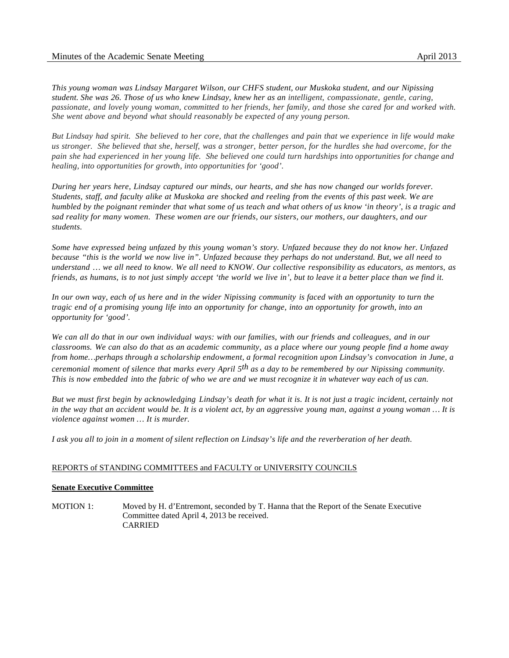*This young woman was Lindsay Margaret Wilson, our CHFS student, our Muskoka student, and our Nipissing* student. She was 26. Those of us who knew Lindsay, knew her as an intelligent, compassionate, gentle, caring, passionate, and lovely young woman, committed to her friends, her family, and those she cared for and worked with. *She went above and beyond what should reasonably be expected of any young person.*

But Lindsay had spirit. She believed to her core, that the challenges and pain that we experience in life would make us stronger. She believed that she, herself, was a stronger, better person, for the hurdles she had overcome, for the pain she had experienced in her young life. She believed one could turn hardships into opportunities for change and *healing, into opportunities for growth, into opportunities for 'good'.*

During her years here, Lindsay captured our minds, our hearts, and she has now changed our worlds forever. Students, staff, and faculty alike at Muskoka are shocked and reeling from the events of this past week. We are humbled by the poignant reminder that what some of us teach and what others of us know 'in theory', is a tragic and *sad reality for many women. These women are our friends, our sisters, our mothers, our daughters, and our students.*

Some have expressed being unfazed by this young woman's story. Unfazed because they do not know her. Unfazed because "this is the world we now live in". Unfazed because they perhaps do not understand. But, we all need to understand ... we all need to know. We all need to KNOW. Our collective responsibility as educators, as mentors, as friends, as humans, is to not just simply accept 'the world we live in', but to leave it a better place than we find it.

In our own way, each of us here and in the wider Nipissing community is faced with an opportunity to turn the tragic end of a promising young life into an opportunity for change, into an opportunity for growth, into an *opportunity for 'good'.*

We can all do that in our own individual ways: with our families, with our friends and colleagues, and in our classrooms. We can also do that as an academic community, as a place where our young people find a home away *from home…perhaps through a scholarship endowment, a formal recognition upon Lindsay's convocation in June, a* ceremonial moment of silence that marks every April  $5<sup>th</sup>$  as a day to be remembered by our Nipissing community. This is now embedded into the fabric of who we are and we must recognize it in whatever way each of us can.

But we must first begin by acknowledging Lindsay's death for what it is. It is not just a tragic incident, certainly not in the way that an accident would be. It is a violent act, by an aggressive young man, against a young woman ... It is *violence against women … It is murder.*

*I ask you all to join in a moment of silent reflection on Lindsay's life and the reverberation of her death.*

# REPORTS of STANDING COMMITTEES and FACULTY or UNIVERSITY COUNCILS

### **Senate Executive Committee**

MOTION 1: Moved by H. d'Entremont, seconded by T. Hanna that the Report of the Senate Executive Committee dated April 4, 2013 be received. CARRIED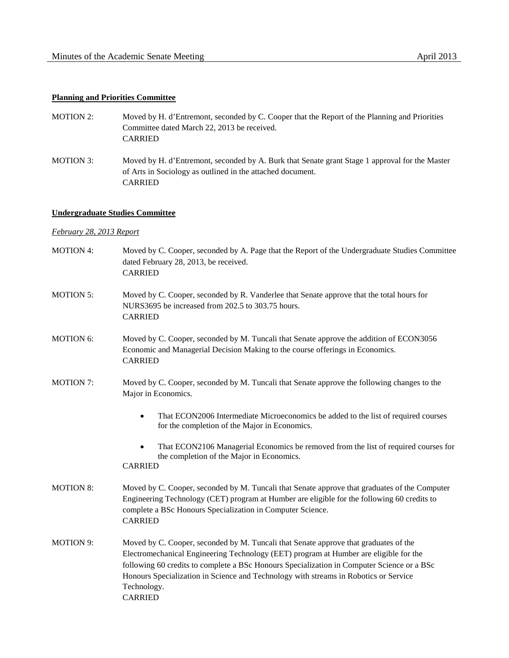# **Planning and Priorities Committee**

- MOTION 2: Moved by H. d'Entremont, seconded by C. Cooper that the Report of the Planning and Priorities Committee dated March 22, 2013 be received. CARRIED
- MOTION 3: Moved by H. d'Entremont, seconded by A. Burk that Senate grant Stage 1 approval for the Master of Arts in Sociology as outlined in the attached document. CARRIED

### **Undergraduate Studies Committee**

## *February 28, 2013 Report*

MOTION 4: Moved by C. Cooper, seconded by A. Page that the Report of the Undergraduate Studies Committee dated February 28, 2013, be received. CARRIED MOTION 5: Moved by C. Cooper, seconded by R. Vanderlee that Senate approve that the total hours for NURS3695 be increased from 202.5 to 303.75 hours. CARRIED MOTION 6: Moved by C. Cooper, seconded by M. Tuncali that Senate approve the addition of ECON3056 Economic and Managerial Decision Making to the course offerings in Economics. CARRIED MOTION 7: Moved by C. Cooper, seconded by M. Tuncali that Senate approve the following changes to the Major in Economics. That ECON2006 Intermediate Microeconomics be added to the list of required courses for the completion of the Major in Economics. • That ECON2106 Managerial Economics be removed from the list of required courses for the completion of the Major in Economics. CARRIED MOTION 8: Moved by C. Cooper, seconded by M. Tuncali that Senate approve that graduates of the Computer Engineering Technology (CET) program at Humber are eligible for the following 60 credits to complete a BSc Honours Specialization in Computer Science. CARRIED MOTION 9: Moved by C. Cooper, seconded by M. Tuncali that Senate approve that graduates of the Electromechanical Engineering Technology (EET) program at Humber are eligible for the following 60 credits to complete a BSc Honours Specialization in Computer Science or a BSc Honours Specialization in Science and Technology with streams in Robotics or Service Technology. CARRIED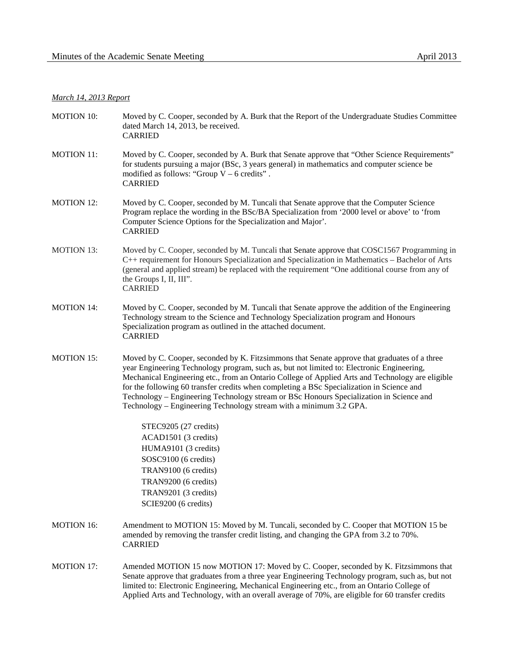# *March 14, 2013 Report*

| <b>MOTION 10:</b> | Moved by C. Cooper, seconded by A. Burk that the Report of the Undergraduate Studies Committee<br>dated March 14, 2013, be received.<br><b>CARRIED</b>                                                                                                                                                                                                                                                                                                                                                                                                      |
|-------------------|-------------------------------------------------------------------------------------------------------------------------------------------------------------------------------------------------------------------------------------------------------------------------------------------------------------------------------------------------------------------------------------------------------------------------------------------------------------------------------------------------------------------------------------------------------------|
| <b>MOTION 11:</b> | Moved by C. Cooper, seconded by A. Burk that Senate approve that "Other Science Requirements"<br>for students pursuing a major (BSc, 3 years general) in mathematics and computer science be<br>modified as follows: "Group $V - 6$ credits".<br><b>CARRIED</b>                                                                                                                                                                                                                                                                                             |
| <b>MOTION 12:</b> | Moved by C. Cooper, seconded by M. Tuncali that Senate approve that the Computer Science<br>Program replace the wording in the BSc/BA Specialization from '2000 level or above' to 'from<br>Computer Science Options for the Specialization and Major'.<br><b>CARRIED</b>                                                                                                                                                                                                                                                                                   |
| <b>MOTION 13:</b> | Moved by C. Cooper, seconded by M. Tuncali that Senate approve that COSC1567 Programming in<br>C++ requirement for Honours Specialization and Specialization in Mathematics – Bachelor of Arts<br>(general and applied stream) be replaced with the requirement "One additional course from any of<br>the Groups I, II, III".<br><b>CARRIED</b>                                                                                                                                                                                                             |
| <b>MOTION 14:</b> | Moved by C. Cooper, seconded by M. Tuncali that Senate approve the addition of the Engineering<br>Technology stream to the Science and Technology Specialization program and Honours<br>Specialization program as outlined in the attached document.<br><b>CARRIED</b>                                                                                                                                                                                                                                                                                      |
| <b>MOTION 15:</b> | Moved by C. Cooper, seconded by K. Fitzsimmons that Senate approve that graduates of a three<br>year Engineering Technology program, such as, but not limited to: Electronic Engineering,<br>Mechanical Engineering etc., from an Ontario College of Applied Arts and Technology are eligible<br>for the following 60 transfer credits when completing a BSc Specialization in Science and<br>Technology – Engineering Technology stream or BSc Honours Specialization in Science and<br>Technology – Engineering Technology stream with a minimum 3.2 GPA. |
|                   | STEC9205 (27 credits)                                                                                                                                                                                                                                                                                                                                                                                                                                                                                                                                       |
|                   | ACAD1501 (3 credits)                                                                                                                                                                                                                                                                                                                                                                                                                                                                                                                                        |
|                   | HUMA9101 (3 credits)                                                                                                                                                                                                                                                                                                                                                                                                                                                                                                                                        |
|                   | SOSC9100 (6 credits)                                                                                                                                                                                                                                                                                                                                                                                                                                                                                                                                        |
|                   | TRAN9100 (6 credits)                                                                                                                                                                                                                                                                                                                                                                                                                                                                                                                                        |
|                   | TRAN9200 (6 credits)<br>TRAN9201 (3 credits)                                                                                                                                                                                                                                                                                                                                                                                                                                                                                                                |
|                   | SCIE9200 (6 credits)                                                                                                                                                                                                                                                                                                                                                                                                                                                                                                                                        |
| <b>MOTION 16:</b> | Amendment to MOTION 15: Moved by M. Tuncali, seconded by C. Cooper that MOTION 15 be<br>amended by removing the transfer credit listing, and changing the GPA from 3.2 to 70%.<br><b>CARRIED</b>                                                                                                                                                                                                                                                                                                                                                            |
| <b>MOTION 17:</b> | Amended MOTION 15 now MOTION 17: Moved by C. Cooper, seconded by K. Fitzsimmons that<br>Senate approve that graduates from a three year Engineering Technology program, such as, but not<br>limited to: Electronic Engineering, Mechanical Engineering etc., from an Ontario College of<br>Applied Arts and Technology, with an overall average of 70%, are eligible for 60 transfer credits                                                                                                                                                                |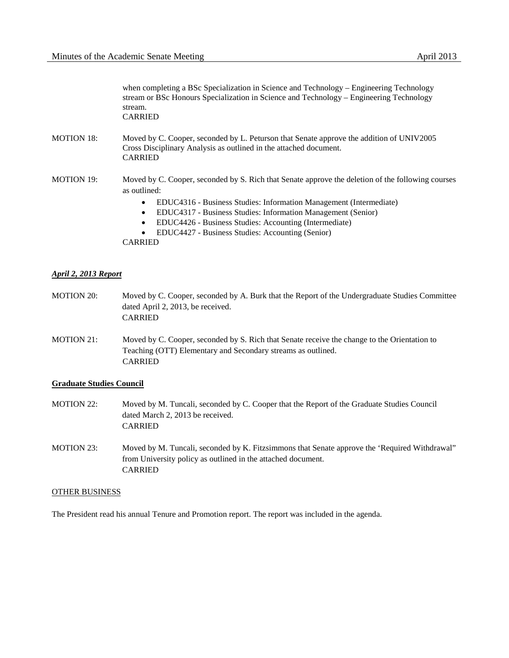when completing a BSc Specialization in Science and Technology – Engineering Technology stream or BSc Honours Specialization in Science and Technology – Engineering Technology stream. CARRIED

- MOTION 18: Moved by C. Cooper, seconded by L. Peturson that Senate approve the addition of UNIV2005 Cross Disciplinary Analysis as outlined in the attached document. CARRIED
- MOTION 19: Moved by C. Cooper, seconded by S. Rich that Senate approve the deletion of the following courses as outlined:
	- EDUC4316 Business Studies: Information Management (Intermediate)
	- EDUC4317 Business Studies: Information Management (Senior)
	- EDUC4426 Business Studies: Accounting (Intermediate)
	- EDUC4427 Business Studies: Accounting (Senior)

CARRIED

### *April 2, 2013 Report*

- MOTION 20: Moved by C. Cooper, seconded by A. Burk that the Report of the Undergraduate Studies Committee dated April 2, 2013, be received. CARRIED
- MOTION 21: Moved by C. Cooper, seconded by S. Rich that Senate receive the change to the Orientation to Teaching (OTT) Elementary and Secondary streams as outlined. CARRIED

### **Graduate Studies Council**

- MOTION 22: Moved by M. Tuncali, seconded by C. Cooper that the Report of the Graduate Studies Council dated March 2, 2013 be received. CARRIED
- MOTION 23: Moved by M. Tuncali, seconded by K. Fitzsimmons that Senate approve the 'Required Withdrawal" from University policy as outlined in the attached document. CARRIED

#### OTHER BUSINESS

The President read his annual Tenure and Promotion report. The report was included in the agenda.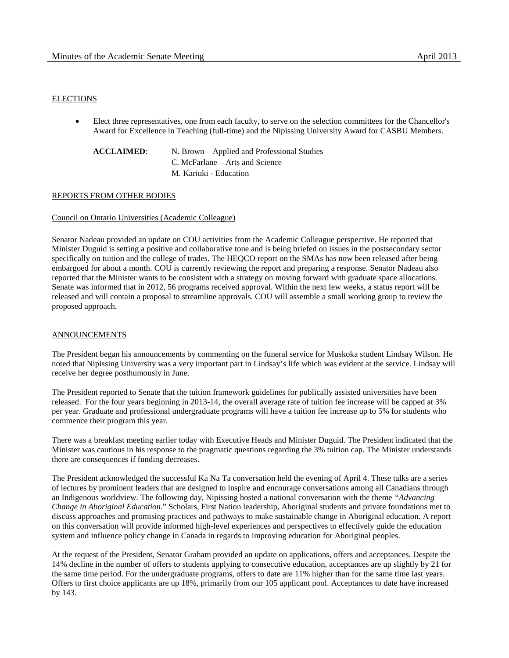# ELECTIONS

• Elect three representatives, one from each faculty, to serve on the selection committees for the Chancellor's Award for Excellence in Teaching (full-time) and the Nipissing University Award for CASBU Members.

**ACCLAIMED**: N. Brown – Applied and Professional Studies C. McFarlane – Arts and Science M. Kariuki - Education

# REPORTS FROM OTHER BODIES

# Council on Ontario Universities (Academic Colleague)

Senator Nadeau provided an update on COU activities from the Academic Colleague perspective. He reported that Minister Duguid is setting a positive and collaborative tone and is being briefed on issues in the postsecondary sector specifically on tuition and the college of trades. The HEQCO report on the SMAs has now been released after being embargoed for about a month. COU is currently reviewing the report and preparing a response. Senator Nadeau also reported that the Minister wants to be consistent with a strategy on moving forward with graduate space allocations. Senate was informed that in 2012, 56 programs received approval. Within the next few weeks, a status report will be released and will contain a proposal to streamline approvals. COU will assemble a small working group to review the proposed approach.

# ANNOUNCEMENTS

The President began his announcements by commenting on the funeral service for Muskoka student Lindsay Wilson. He noted that Nipissing University was a very important part in Lindsay's life which was evident at the service. Lindsay will receive her degree posthumously in June.

The President reported to Senate that the tuition framework guidelines for publically assisted universities have been released. For the four years beginning in 2013-14, the overall average rate of tuition fee increase will be capped at 3% per year. Graduate and professional undergraduate programs will have a tuition fee increase up to 5% for students who commence their program this year.

There was a breakfast meeting earlier today with Executive Heads and Minister Duguid. The President indicated that the Minister was cautious in his response to the pragmatic questions regarding the 3% tuition cap. The Minister understands there are consequences if funding decreases.

The President acknowledged the successful Ka Na Ta conversation held the evening of April 4. These talks are a series of lectures by prominent leaders that are designed to inspire and encourage conversations among all Canadians through an Indigenous worldview. The following day, Nipissing hosted a national conversation with the theme *"Advancing Change in Aboriginal Education*." Scholars, First Nation leadership, Aboriginal students and private foundations met to discuss approaches and promising practices and pathways to make sustainable change in Aboriginal education. A report on this conversation will provide informed high-level experiences and perspectives to effectively guide the education system and influence policy change in Canada in regards to improving education for Aboriginal peoples.

At the request of the President, Senator Graham provided an update on applications, offers and acceptances. Despite the 14% decline in the number of offers to students applying to consecutive education, acceptances are up slightly by 21 for the same time period. For the undergraduate programs, offers to date are 11% higher than for the same time last years. Offers to first choice applicants are up 18%, primarily from our 105 applicant pool. Acceptances to date have increased by 143.